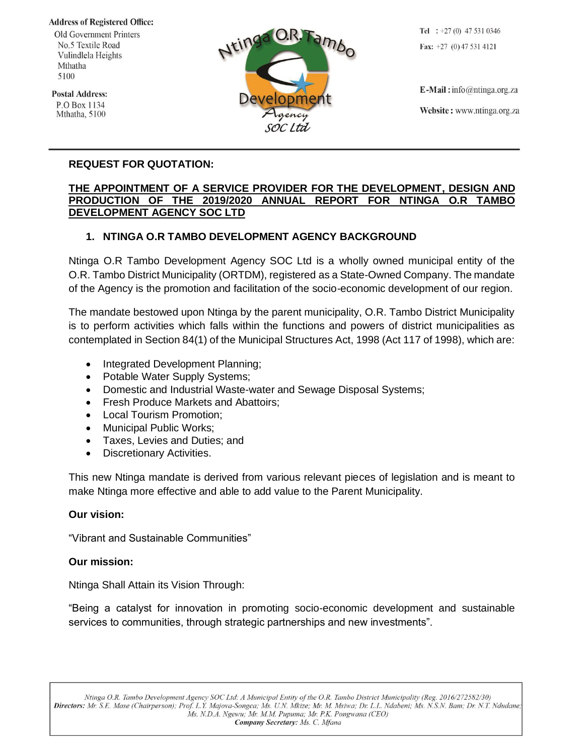**Address of Registered Office:** 

Old Government Printers No.5 Textile Road Vulindlela Heights Mthatha 5100

**Postal Address:** P.O Box 1134 Mthatha, 5100



Tel :  $+27(0)$  47 531 0346 Fax:  $+27$  (0) 47 531 4121

 $E$ -Mail: info@ntinga.org.za Website: www.ntinga.org.za

### **REQUEST FOR QUOTATION:**

#### **THE APPOINTMENT OF A SERVICE PROVIDER FOR THE DEVELOPMENT, DESIGN AND PRODUCTION OF THE 2019/2020 ANNUAL REPORT FOR NTINGA O.R TAMBO DEVELOPMENT AGENCY SOC LTD**

#### **1. NTINGA O.R TAMBO DEVELOPMENT AGENCY BACKGROUND**

Ntinga O.R Tambo Development Agency SOC Ltd is a wholly owned municipal entity of the O.R. Tambo District Municipality (ORTDM), registered as a State-Owned Company. The mandate of the Agency is the promotion and facilitation of the socio-economic development of our region.

The mandate bestowed upon Ntinga by the parent municipality, O.R. Tambo District Municipality is to perform activities which falls within the functions and powers of district municipalities as contemplated in Section 84(1) of the Municipal Structures Act, 1998 (Act 117 of 1998), which are:

- Integrated Development Planning;
- Potable Water Supply Systems;
- Domestic and Industrial Waste-water and Sewage Disposal Systems;
- Fresh Produce Markets and Abattoirs;
- Local Tourism Promotion;
- Municipal Public Works;
- Taxes, Levies and Duties; and
- Discretionary Activities.

This new Ntinga mandate is derived from various relevant pieces of legislation and is meant to make Ntinga more effective and able to add value to the Parent Municipality.

#### **Our vision:**

"Vibrant and Sustainable Communities"

#### **Our mission:**

Ntinga Shall Attain its Vision Through:

"Being a catalyst for innovation in promoting socio-economic development and sustainable services to communities, through strategic partnerships and new investments".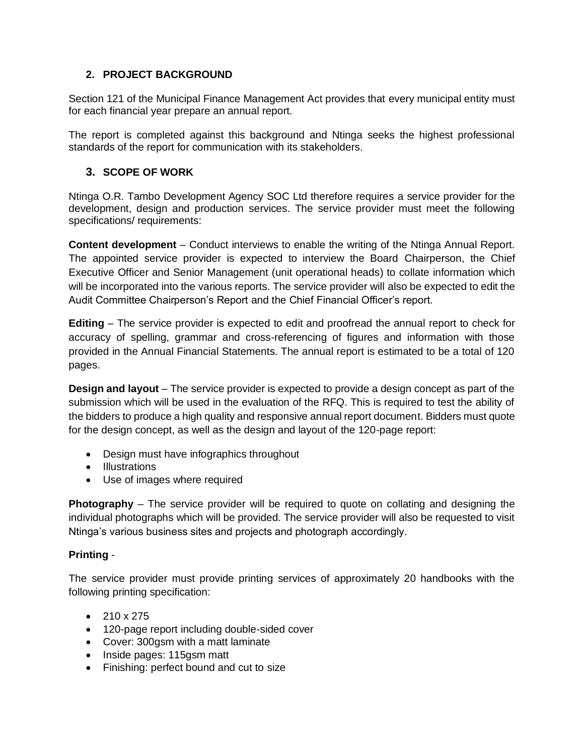## **2. PROJECT BACKGROUND**

Section 121 of the Municipal Finance Management Act provides that every municipal entity must for each financial year prepare an annual report.

The report is completed against this background and Ntinga seeks the highest professional standards of the report for communication with its stakeholders.

### **3. SCOPE OF WORK**

Ntinga O.R. Tambo Development Agency SOC Ltd therefore requires a service provider for the development, design and production services. The service provider must meet the following specifications/ requirements:

**Content development** – Conduct interviews to enable the writing of the Ntinga Annual Report. The appointed service provider is expected to interview the Board Chairperson, the Chief Executive Officer and Senior Management (unit operational heads) to collate information which will be incorporated into the various reports. The service provider will also be expected to edit the Audit Committee Chairperson's Report and the Chief Financial Officer's report.

**Editing** – The service provider is expected to edit and proofread the annual report to check for accuracy of spelling, grammar and cross-referencing of figures and information with those provided in the Annual Financial Statements. The annual report is estimated to be a total of 120 pages.

**Design and layout** – The service provider is expected to provide a design concept as part of the submission which will be used in the evaluation of the RFQ. This is required to test the ability of the bidders to produce a high quality and responsive annual report document. Bidders must quote for the design concept, as well as the design and layout of the 120-page report:

- Design must have infographics throughout
- Illustrations
- Use of images where required

**Photography** – The service provider will be required to quote on collating and designing the individual photographs which will be provided. The service provider will also be requested to visit Ntinga's various business sites and projects and photograph accordingly.

#### **Printing** -

The service provider must provide printing services of approximately 20 handbooks with the following printing specification:

- $210 \times 275$
- 120-page report including double-sided cover
- Cover: 300gsm with a matt laminate
- Inside pages: 115gsm matt
- Finishing: perfect bound and cut to size